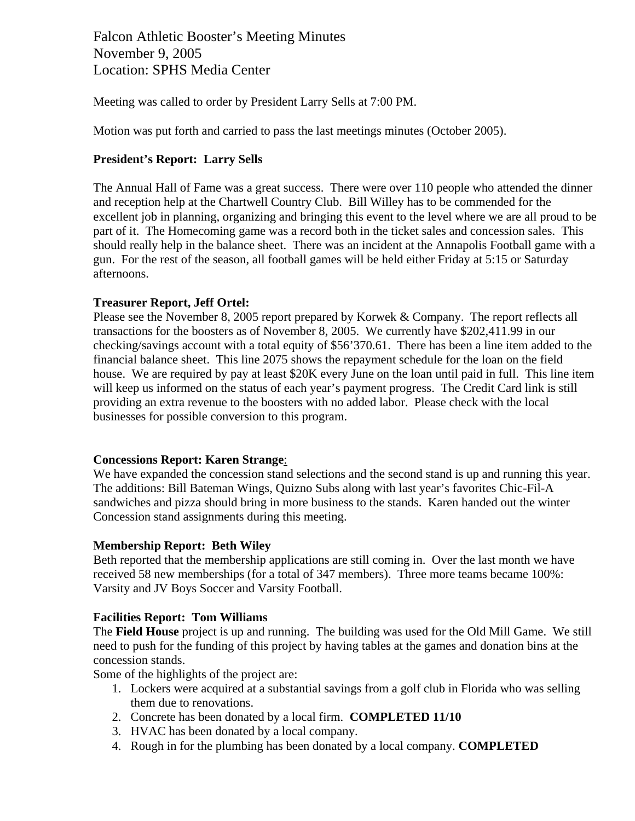Falcon Athletic Booster's Meeting Minutes November 9, 2005 Location: SPHS Media Center

Meeting was called to order by President Larry Sells at 7:00 PM.

Motion was put forth and carried to pass the last meetings minutes (October 2005).

## **President's Report: Larry Sells**

The Annual Hall of Fame was a great success. There were over 110 people who attended the dinner and reception help at the Chartwell Country Club. Bill Willey has to be commended for the excellent job in planning, organizing and bringing this event to the level where we are all proud to be part of it. The Homecoming game was a record both in the ticket sales and concession sales. This should really help in the balance sheet. There was an incident at the Annapolis Football game with a gun. For the rest of the season, all football games will be held either Friday at 5:15 or Saturday afternoons.

### **Treasurer Report, Jeff Ortel:**

Please see the November 8, 2005 report prepared by Korwek & Company. The report reflects all transactions for the boosters as of November 8, 2005. We currently have \$202,411.99 in our checking/savings account with a total equity of \$56'370.61. There has been a line item added to the financial balance sheet. This line 2075 shows the repayment schedule for the loan on the field house. We are required by pay at least \$20K every June on the loan until paid in full. This line item will keep us informed on the status of each year's payment progress. The Credit Card link is still providing an extra revenue to the boosters with no added labor. Please check with the local businesses for possible conversion to this program.

#### **Concessions Report: Karen Strange**:

We have expanded the concession stand selections and the second stand is up and running this year. The additions: Bill Bateman Wings, Quizno Subs along with last year's favorites Chic-Fil-A sandwiches and pizza should bring in more business to the stands. Karen handed out the winter Concession stand assignments during this meeting.

#### **Membership Report: Beth Wiley**

Beth reported that the membership applications are still coming in. Over the last month we have received 58 new memberships (for a total of 347 members). Three more teams became 100%: Varsity and JV Boys Soccer and Varsity Football.

#### **Facilities Report: Tom Williams**

The **Field House** project is up and running. The building was used for the Old Mill Game. We still need to push for the funding of this project by having tables at the games and donation bins at the concession stands.

Some of the highlights of the project are:

- 1. Lockers were acquired at a substantial savings from a golf club in Florida who was selling them due to renovations.
- 2. Concrete has been donated by a local firm. **COMPLETED 11/10**
- 3. HVAC has been donated by a local company.
- 4. Rough in for the plumbing has been donated by a local company. **COMPLETED**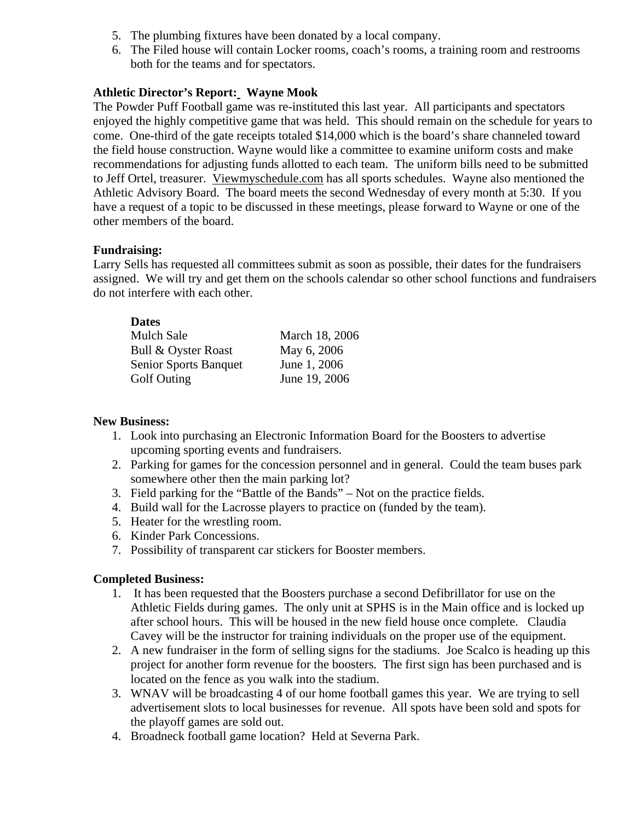- 5. The plumbing fixtures have been donated by a local company.
- 6. The Filed house will contain Locker rooms, coach's rooms, a training room and restrooms both for the teams and for spectators.

## **Athletic Director's Report: Wayne Mook**

The Powder Puff Football game was re-instituted this last year. All participants and spectators enjoyed the highly competitive game that was held. This should remain on the schedule for years to come. One-third of the gate receipts totaled \$14,000 which is the board's share channeled toward the field house construction. Wayne would like a committee to examine uniform costs and make recommendations for adjusting funds allotted to each team. The uniform bills need to be submitted to Jeff Ortel, treasurer. Viewmyschedule.com has all sports schedules. Wayne also mentioned the Athletic Advisory Board. The board meets the second Wednesday of every month at 5:30. If you have a request of a topic to be discussed in these meetings, please forward to Wayne or one of the other members of the board.

### **Fundraising:**

**Dates** 

Larry Sells has requested all committees submit as soon as possible, their dates for the fundraisers assigned. We will try and get them on the schools calendar so other school functions and fundraisers do not interfere with each other.

| March 18, 2006 |
|----------------|
| May 6, 2006    |
| June 1, 2006   |
| June 19, 2006  |
|                |

# **New Business:**

- 1. Look into purchasing an Electronic Information Board for the Boosters to advertise upcoming sporting events and fundraisers.
- 2. Parking for games for the concession personnel and in general. Could the team buses park somewhere other then the main parking lot?
- 3. Field parking for the "Battle of the Bands" Not on the practice fields.
- 4. Build wall for the Lacrosse players to practice on (funded by the team).
- 5. Heater for the wrestling room.
- 6. Kinder Park Concessions.
- 7. Possibility of transparent car stickers for Booster members.

# **Completed Business:**

- 1. It has been requested that the Boosters purchase a second Defibrillator for use on the Athletic Fields during games. The only unit at SPHS is in the Main office and is locked up after school hours. This will be housed in the new field house once complete. Claudia Cavey will be the instructor for training individuals on the proper use of the equipment.
- 2. A new fundraiser in the form of selling signs for the stadiums. Joe Scalco is heading up this project for another form revenue for the boosters. The first sign has been purchased and is located on the fence as you walk into the stadium.
- 3. WNAV will be broadcasting 4 of our home football games this year. We are trying to sell advertisement slots to local businesses for revenue. All spots have been sold and spots for the playoff games are sold out.
- 4. Broadneck football game location? Held at Severna Park.